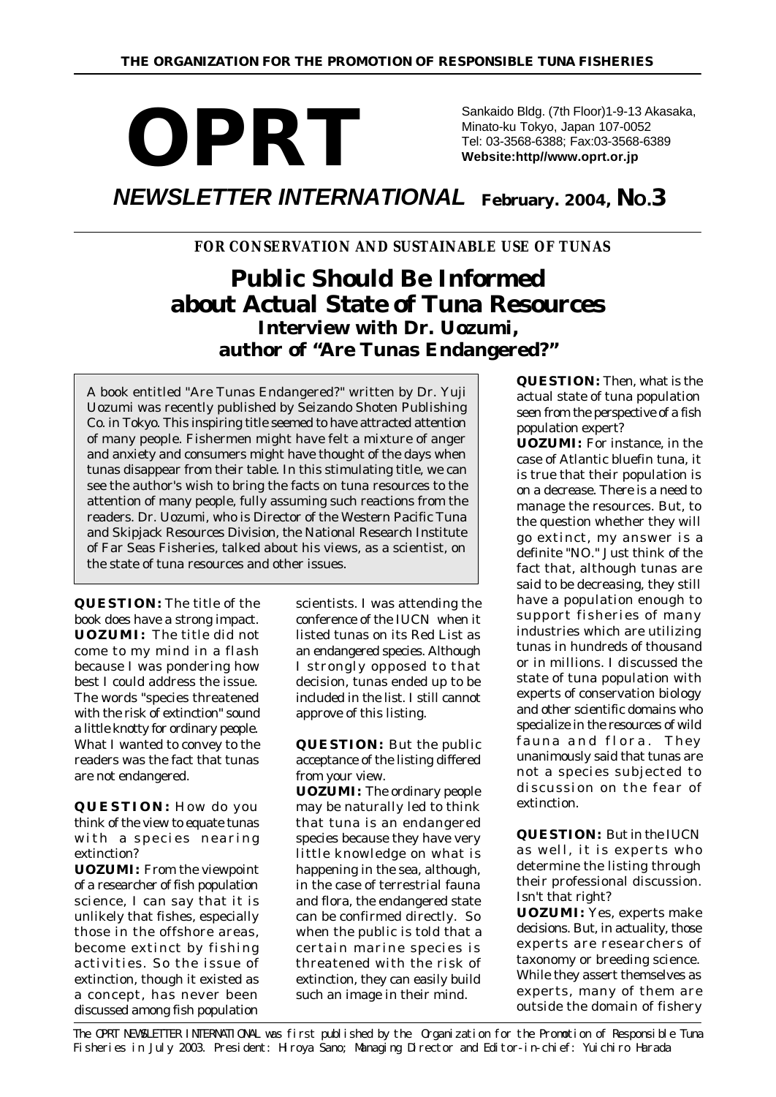### *OPRT NEWSLETTER INTERNATIONAL*  **February. 2004, NO.3** Sankaido Bldg. (7th Floor)1-9-13 Akasaka, Minato-ku Tokyo, Japan 107-0052 Tel: 03-3568-6388; Fax:03-3568-6389 **Website:http//www.oprt.or.jp**

### *FOR CONSERVATION AND SUSTAINABLE USE OF TUNAS*

# **Public Should Be Informed about Actual State of Tuna Resources Interview with Dr. Uozumi, author of "Are Tunas Endangered?"**

*A book entitled "Are Tunas Endangered?" written by Dr. Yuji Uozumi was recently published by Seizando Shoten Publishing Co. in Tokyo. This inspiring title seemed to have attracted attention of many people. Fishermen might have felt a mixture of anger and anxiety and consumers might have thought of the days when tunas disappear from their table. In this stimulating title, we can see the author's wish to bring the facts on tuna resources to the attention of many people, fully assuming such reactions from the readers. Dr. Uozumi, who is Director of the Western Pacific Tuna and Skipjack Resources Division, the National Research Institute of Far Seas Fisheries, talked about his views, as a scientist, on the state of tuna resources and other issues.*

**QUESTION:** The title of the book does have a strong impact. **UOZUMI:** The title did not come to my mind in a flash because I was pondering how best I could address the issue. The words "species threatened with the risk of extinction" sound a little knotty for ordinary people. What I wanted to convey to the readers was the fact that tunas are not endangered.

**QUESTION:** How do you think of the view to equate tunas with a species nearing extinction?

**UOZUMI:** From the viewpoint of a researcher of fish population science, I can say that it is unlikely that fishes, especially those in the offshore areas, become extinct by fishing activities. So the issue of extinction, though it existed as a concept, has never been discussed among fish population

scientists. I was attending the conference of the IUCN when it listed tunas on its Red List as an endangered species. Although I strongly opposed to that decision, tunas ended up to be included in the list. I still cannot approve of this listing.

**QUESTION:** But the public acceptance of the listing differed from your view.

**UOZUMI:** The ordinary people may be naturally led to think that tuna is an endangered species because they have very little knowledge on what is happening in the sea, although, in the case of terrestrial fauna and flora, the endangered state can be confirmed directly. So when the public is told that a certain marine species is threatened with the risk of extinction, they can easily build such an image in their mind.

**QUESTION:** Then, what is the actual state of tuna population seen from the perspective of a fish population expert?

**UOZUMI:** For instance, in the case of Atlantic bluefin tuna, it is true that their population is on a decrease. There is a need to manage the resources. But, to the question whether they will go extinct, my answer is a definite "NO." Just think of the fact that, although tunas are said to be decreasing, they still have a population enough to support fisheries of many industries which are utilizing tunas in hundreds of thousand or in millions. I discussed the state of tuna population with experts of conservation biology and other scientific domains who specialize in the resources of wild fauna and flora. They unanimously said that tunas are not a species subjected to discussion on the fear of extinction.

**QUESTION:** But in the IUCN as well, it is experts who determine the listing through their professional discussion. Isn't that right?

**UOZUMI:** Yes, experts make decisions. But, in actuality, those experts are researchers of taxonomy or breeding science. While they assert themselves as experts, many of them are outside the domain of fishery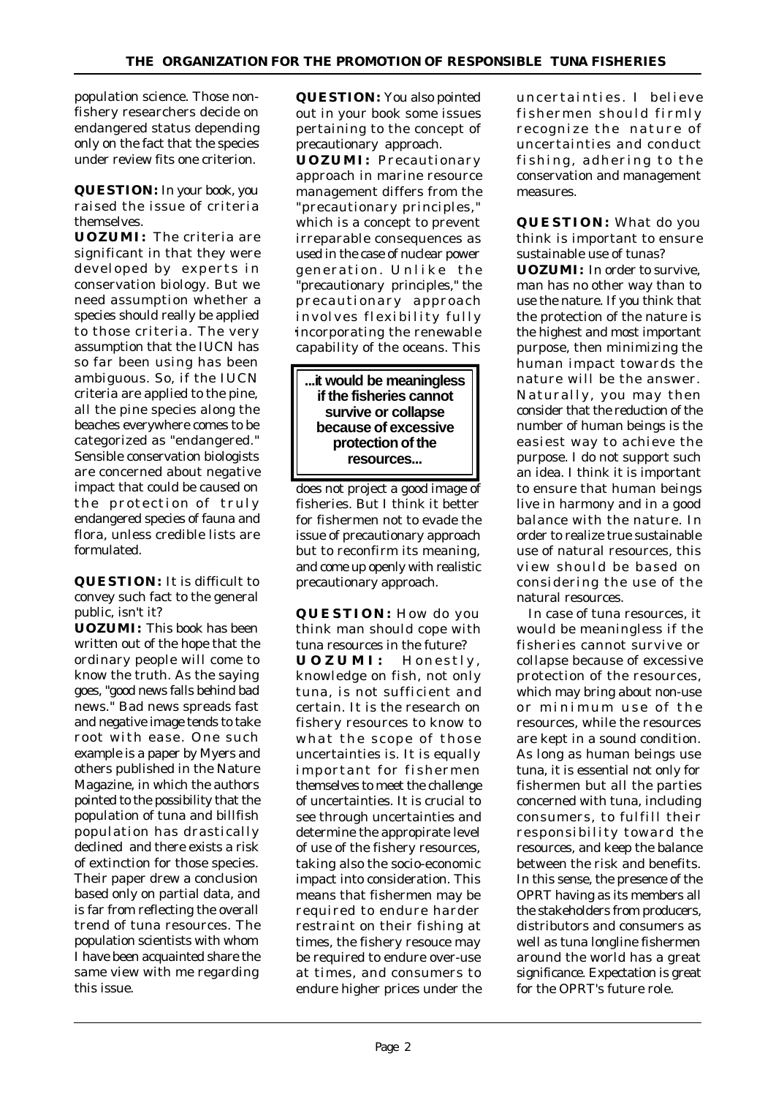population science. Those nonfishery researchers decide on endangered status depending only on the fact that the species under review fits one criterion.

**QUESTION:** In your book, you raised the issue of criteria themselves.

**UOZUMI:** The criteria are significant in that they were developed by experts in conservation biology. But we need assumption whether a species should really be applied to those criteria. The very assumption that the IUCN has so far been using has been ambiguous. So, if the IUCN criteria are applied to the pine, all the pine species along the beaches everywhere comes to be categorized as "endangered." Sensible conservation biologists are concerned about negative impact that could be caused on the protection of truly endangered species of fauna and flora, unless credible lists are formulated.

**QUESTION:** It is difficult to convey such fact to the general public, isn't it?

**UOZUMI:** This book has been written out of the hope that the ordinary people will come to know the truth. As the saying goes, "good news falls behind bad news." Bad news spreads fast and negative image tends to take root with ease. One such example is a paper by Myers and others published in the Nature Magazine, in which the authors pointed to the possibility that the population of tuna and billfish population has drastically declined and there exists a risk of extinction for those species. Their paper drew a conclusion based only on partial data, and is far from reflecting the overall trend of tuna resources. The population scientists with whom I have been acquainted share the same view with me regarding this issue.

**QUESTION:** You also pointed out in your book some issues pertaining to the concept of precautionary approach. **UOZUMI:** Precautionary

approach in marine resource management differs from the "precautionary principles," which is a concept to prevent irreparable consequences as used in the case of nuclear power generation. Unlike the "precautionary principles," the precautionary approach involves flexibility fully incorporating the renewable capability of the oceans. This



does not project a good image of fisheries. But I think it better for fishermen not to evade the issue of precautionary approach but to reconfirm its meaning, and come up openly with realistic precautionary approach.

**QUESTION:** How do you think man should cope with tuna resources in the future? **UOZUMI:** Honestly, knowledge on fish, not only tuna, is not sufficient and certain. It is the research on fishery resources to know to what the scope of those uncertainties is. It is equally important for fishermen themselves to meet the challenge of uncertainties. It is crucial to see through uncertainties and determine the appropirate level of use of the fishery resources, taking also the socio-economic impact into consideration. This means that fishermen may be required to endure harder restraint on their fishing at times, the fishery resouce may be required to endure over-use at times, and consumers to endure higher prices under the

uncertainties. I believe fishermen should firmly recognize the nature of uncertainties and conduct fishing, adhering to the conservation and management measures.

**QUESTION:** What do you think is important to ensure sustainable use of tunas?

**UOZUMI:** In order to survive, man has no other way than to use the nature. If you think that the protection of the nature is the highest and most important purpose, then minimizing the human impact towards the nature will be the answer. Naturally, you may then consider that the reduction of the number of human beings is the easiest way to achieve the purpose. I do not support such an idea. I think it is important to ensure that human beings live in harmony and in a good balance with the nature. In order to realize true sustainable use of natural resources, this view should be based on considering the use of the natural resources.

 In case of tuna resources, it would be meaningless if the fisheries cannot survive or collapse because of excessive protection of the resources, which may bring about non-use or minimum use of the resources, while the resources are kept in a sound condition. As long as human beings use tuna, it is essential not only for fishermen but all the parties concerned with tuna, including consumers, to fulfill their responsibility toward the resources, and keep the balance between the risk and benefits. In this sense, the presence of the OPRT having as its members all the stakeholders from producers, distributors and consumers as well as tuna longline fishermen around the world has a great significance. Expectation is great for the OPRT's future role.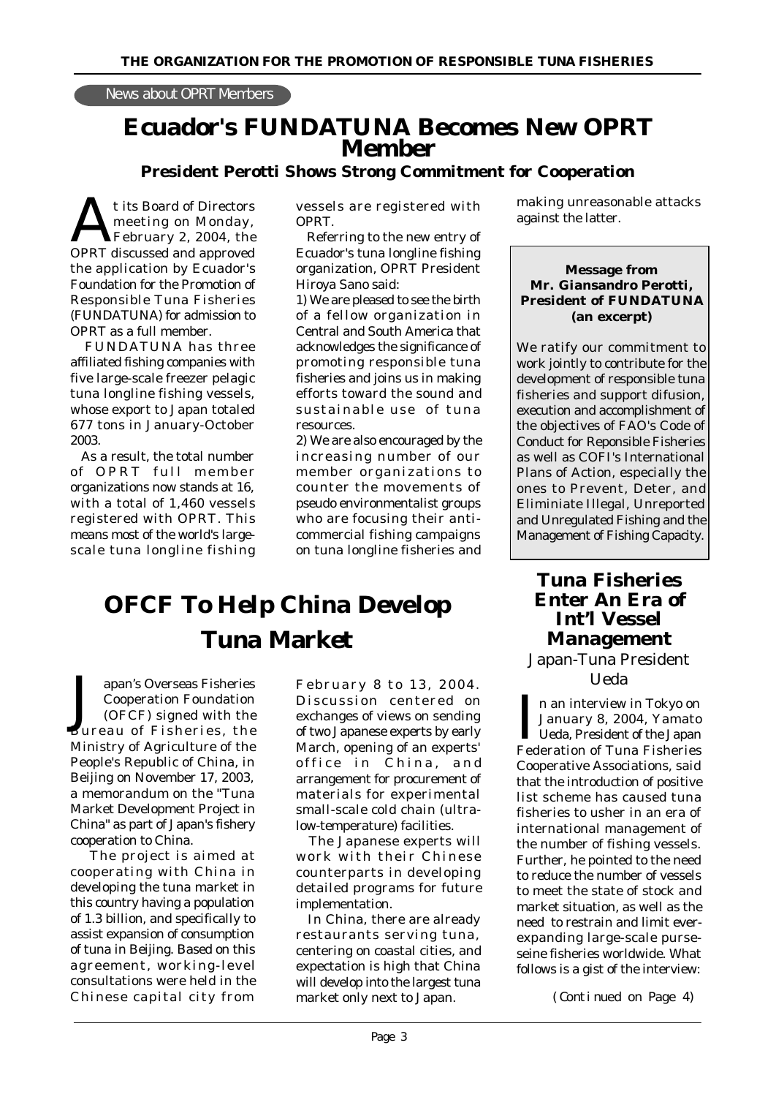#### News about OPRT Members

# **Ecuador's FUNDATUNA Becomes New OPRT Member**

#### **President Perotti Shows Strong Commitment for Cooperation**

t its Board of Directors<br>
meeting on Monday,<br>
OPRT discussed and approved t its Board of Directors meeting on Monday, February 2, 2004, the the application by Ecuador's Foundation for the Promotion of Responsible Tuna Fisheries (FUNDATUNA) for admission to OPRT as a full member.

 FUNDATUNA has three affiliated fishing companies with five large-scale freezer pelagic tuna longline fishing vessels, whose export to Japan totaled 677 tons in January-October 2003.

 As a result, the total number of OPRT full member organizations now stands at 16, with a total of 1,460 vessels registered with OPRT. This means most of the world's largescale tuna longline fishing vessels are registered with OPRT.

 Referring to the new entry of Ecuador's tuna longline fishing organization, OPRT President Hiroya Sano said:

1) We are pleased to see the birth of a fellow organization in Central and South America that acknowledges the significance of promoting responsible tuna fisheries and joins us in making efforts toward the sound and sustainable use of tuna resources.

2) We are also encouraged by the increasing number of our member organizations to counter the movements of pseudo environmentalist groups who are focusing their anticommercial fishing campaigns on tuna longline fisheries and

# **OFCF To Help China Develop Tuna Market**

J apan's Overseas Fisheries Cooperation Foundation (OFCF) signed with the Bureau of Fisheries, the Ministry of Agriculture of the People's Republic of China, in Beijing on November 17, 2003, a memorandum on the "Tuna Market Development Project in China" as part of Japan's fishery cooperation to China.

The project is aimed at cooperating with China in developing the tuna market in this country having a population of 1.3 billion, and specifically to assist expansion of consumption of tuna in Beijing. Based on this agreement, working-level consultations were held in the Chinese capital city from

February 8 to 13, 2004. Discussion centered on exchanges of views on sending of two Japanese experts by early March, opening of an experts' office in China, and arrangement for procurement of materials for experimental small-scale cold chain (ultralow-temperature) facilities.

 The Japanese experts will work with their Chinese counterparts in developing detailed programs for future implementation.

 In China, there are already restaurants serving tuna, centering on coastal cities, and expectation is high that China will develop into the largest tuna market only next to Japan.

making unreasonable attacks against the latter.

#### **Message from Mr. Giansandro Perotti, President of FUNDATUNA (an excerpt)**

We ratify our commitment to work jointly to contribute for the development of responsible tuna fisheries and support difusion, execution and accomplishment of the objectives of FAO's Code of Conduct for Reponsible Fisheries as well as COFI's International Plans of Action, especially the ones to Prevent, Deter, and Eliminiate Illegal, Unreported and Unregulated Fishing and the Management of Fishing Capacity.

### **Tuna Fisheries Enter An Era of Int'l Vessel Management** Japan-Tuna President

Ueda

I an interview in Tokyo on<br>January 8, 2004, Yamato<br>Ueda, President of the Japan n an interview in Tokyo on January 8, 2004, Yamato Federation of Tuna Fisheries Cooperative Associations, said that the introduction of positive list scheme has caused tuna fisheries to usher in an era of international management of the number of fishing vessels. Further, he pointed to the need to reduce the number of vessels to meet the state of stock and market situation, as well as the need to restrain and limit everexpanding large-scale purseseine fisheries worldwide. What follows is a gist of the interview:

(Continued on Page 4)